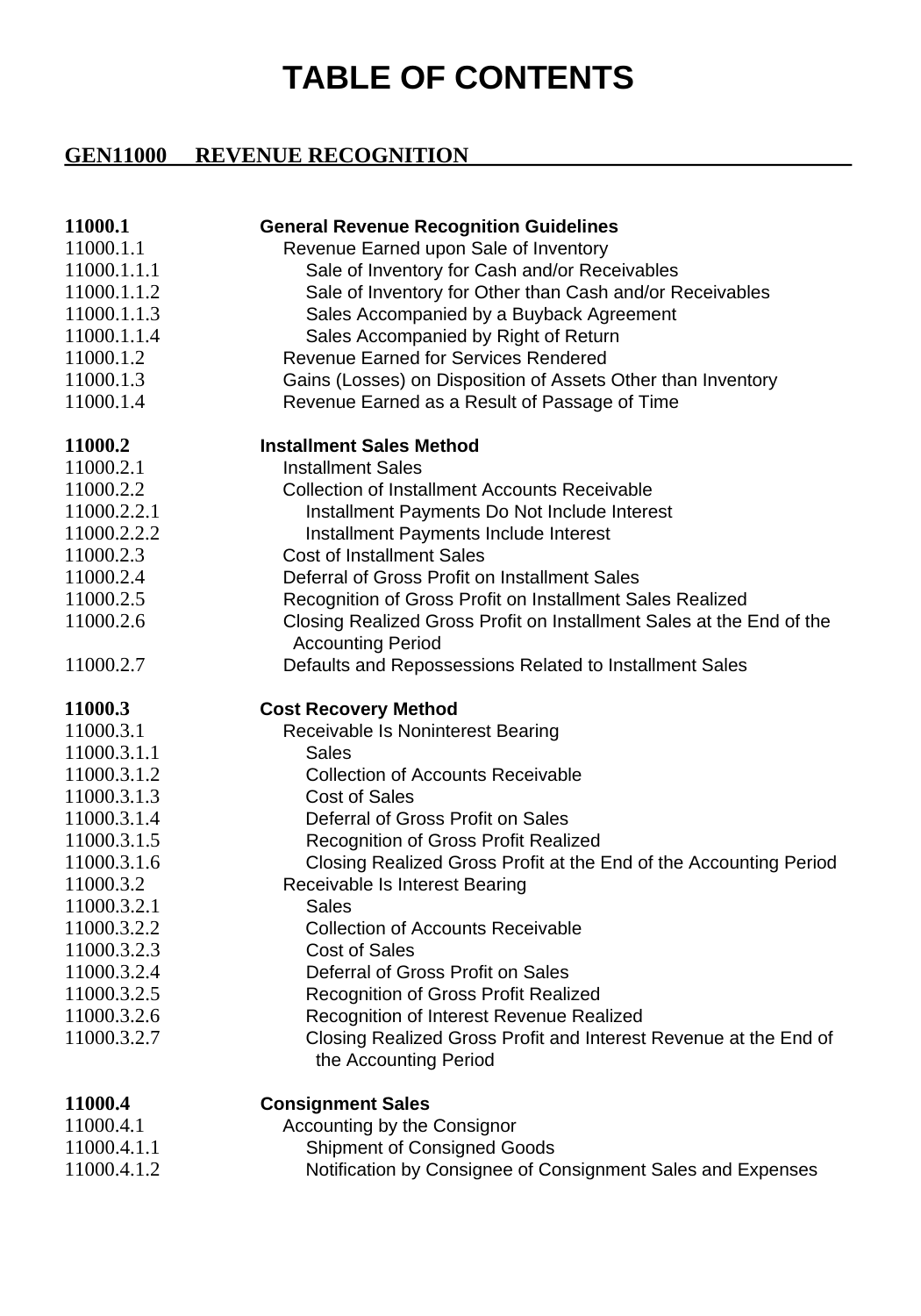## **TABLE OF CONTENTS**

## **GEN11000 REVENUE RECOGNITION**

| 11000.1<br>11000.1.1<br>11000.1.1.1<br>11000.1.1.2<br>11000.1.1.3<br>11000.1.1.4<br>11000.1.2<br>11000.1.3<br>11000.1.4 | <b>General Revenue Recognition Guidelines</b><br>Revenue Earned upon Sale of Inventory<br>Sale of Inventory for Cash and/or Receivables<br>Sale of Inventory for Other than Cash and/or Receivables<br>Sales Accompanied by a Buyback Agreement<br>Sales Accompanied by Right of Return<br><b>Revenue Earned for Services Rendered</b><br>Gains (Losses) on Disposition of Assets Other than Inventory<br>Revenue Earned as a Result of Passage of Time |
|-------------------------------------------------------------------------------------------------------------------------|---------------------------------------------------------------------------------------------------------------------------------------------------------------------------------------------------------------------------------------------------------------------------------------------------------------------------------------------------------------------------------------------------------------------------------------------------------|
| 11000.2                                                                                                                 | <b>Installment Sales Method</b>                                                                                                                                                                                                                                                                                                                                                                                                                         |
| 11000.2.1                                                                                                               | <b>Installment Sales</b>                                                                                                                                                                                                                                                                                                                                                                                                                                |
| 11000.2.2                                                                                                               | <b>Collection of Installment Accounts Receivable</b>                                                                                                                                                                                                                                                                                                                                                                                                    |
| 11000.2.2.1                                                                                                             | Installment Payments Do Not Include Interest                                                                                                                                                                                                                                                                                                                                                                                                            |
| 11000.2.2.2                                                                                                             | Installment Payments Include Interest                                                                                                                                                                                                                                                                                                                                                                                                                   |
| 11000.2.3                                                                                                               | <b>Cost of Installment Sales</b>                                                                                                                                                                                                                                                                                                                                                                                                                        |
| 11000.2.4                                                                                                               | Deferral of Gross Profit on Installment Sales                                                                                                                                                                                                                                                                                                                                                                                                           |
| 11000.2.5                                                                                                               | Recognition of Gross Profit on Installment Sales Realized                                                                                                                                                                                                                                                                                                                                                                                               |
| 11000.2.6                                                                                                               | Closing Realized Gross Profit on Installment Sales at the End of the<br><b>Accounting Period</b>                                                                                                                                                                                                                                                                                                                                                        |
| 11000.2.7                                                                                                               | Defaults and Repossessions Related to Installment Sales                                                                                                                                                                                                                                                                                                                                                                                                 |
|                                                                                                                         |                                                                                                                                                                                                                                                                                                                                                                                                                                                         |
|                                                                                                                         |                                                                                                                                                                                                                                                                                                                                                                                                                                                         |
| 11000.3<br>11000.3.1                                                                                                    | <b>Cost Recovery Method</b><br>Receivable Is Noninterest Bearing                                                                                                                                                                                                                                                                                                                                                                                        |
| 11000.3.1.1                                                                                                             | Sales                                                                                                                                                                                                                                                                                                                                                                                                                                                   |
| 11000.3.1.2                                                                                                             | <b>Collection of Accounts Receivable</b>                                                                                                                                                                                                                                                                                                                                                                                                                |
| 11000.3.1.3                                                                                                             | <b>Cost of Sales</b>                                                                                                                                                                                                                                                                                                                                                                                                                                    |
| 11000.3.1.4                                                                                                             | Deferral of Gross Profit on Sales                                                                                                                                                                                                                                                                                                                                                                                                                       |
| 11000.3.1.5                                                                                                             | Recognition of Gross Profit Realized                                                                                                                                                                                                                                                                                                                                                                                                                    |
| 11000.3.1.6                                                                                                             | Closing Realized Gross Profit at the End of the Accounting Period                                                                                                                                                                                                                                                                                                                                                                                       |
| 11000.3.2                                                                                                               | Receivable Is Interest Bearing                                                                                                                                                                                                                                                                                                                                                                                                                          |
| 11000.3.2.1                                                                                                             | Sales                                                                                                                                                                                                                                                                                                                                                                                                                                                   |
| 11000.3.2.2                                                                                                             | <b>Collection of Accounts Receivable</b>                                                                                                                                                                                                                                                                                                                                                                                                                |
| 11000.3.2.3                                                                                                             | <b>Cost of Sales</b>                                                                                                                                                                                                                                                                                                                                                                                                                                    |
| 11000.3.2.4                                                                                                             | Deferral of Gross Profit on Sales                                                                                                                                                                                                                                                                                                                                                                                                                       |
| 11000.3.2.5                                                                                                             | Recognition of Gross Profit Realized                                                                                                                                                                                                                                                                                                                                                                                                                    |
| 11000.3.2.6                                                                                                             | Recognition of Interest Revenue Realized                                                                                                                                                                                                                                                                                                                                                                                                                |
| 11000.3.2.7                                                                                                             | Closing Realized Gross Profit and Interest Revenue at the End of<br>the Accounting Period                                                                                                                                                                                                                                                                                                                                                               |
|                                                                                                                         |                                                                                                                                                                                                                                                                                                                                                                                                                                                         |
| 11000.4                                                                                                                 | <b>Consignment Sales</b>                                                                                                                                                                                                                                                                                                                                                                                                                                |
| 11000.4.1<br>11000.4.1.1                                                                                                | Accounting by the Consignor<br><b>Shipment of Consigned Goods</b>                                                                                                                                                                                                                                                                                                                                                                                       |